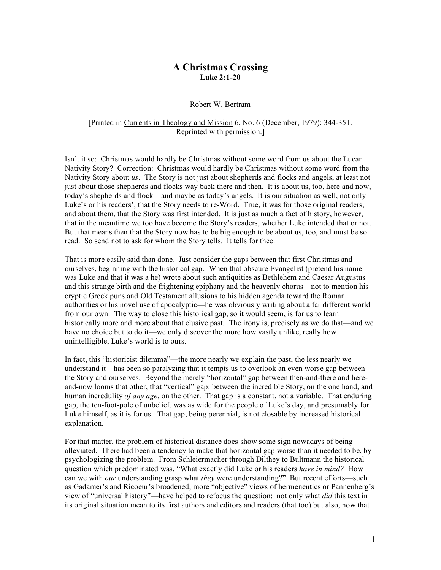# **A Christmas Crossing Luke 2:1-20**

#### Robert W. Bertram

## [Printed in Currents in Theology and Mission 6, No. 6 (December, 1979): 344-351. Reprinted with permission.]

Isn't it so: Christmas would hardly be Christmas without some word from us about the Lucan Nativity Story? Correction: Christmas would hardly be Christmas without some word from the Nativity Story about *us*. The Story is not just about shepherds and flocks and angels, at least not just about those shepherds and flocks way back there and then. It is about us, too, here and now, today's shepherds and flock—and maybe as today's angels. It is our situation as well, not only Luke's or his readers', that the Story needs to re-Word. True, it was for those original readers, and about them, that the Story was first intended. It is just as much a fact of history, however, that in the meantime we too have become the Story's readers, whether Luke intended that or not. But that means then that the Story now has to be big enough to be about us, too, and must be so read. So send not to ask for whom the Story tells. It tells for thee.

That is more easily said than done. Just consider the gaps between that first Christmas and ourselves, beginning with the historical gap. When that obscure Evangelist (pretend his name was Luke and that it was a he) wrote about such antiquities as Bethlehem and Caesar Augustus and this strange birth and the frightening epiphany and the heavenly chorus—not to mention his cryptic Greek puns and Old Testament allusions to his hidden agenda toward the Roman authorities or his novel use of apocalyptic—he was obviously writing about a far different world from our own. The way to close this historical gap, so it would seem, is for us to learn historically more and more about that elusive past. The irony is, precisely as we do that—and we have no choice but to do it—we only discover the more how vastly unlike, really how unintelligible, Luke's world is to ours.

In fact, this "historicist dilemma"—the more nearly we explain the past, the less nearly we understand it—has been so paralyzing that it tempts us to overlook an even worse gap between the Story and ourselves. Beyond the merely "horizontal" gap between then-and-there and hereand-now looms that other, that "vertical" gap: between the incredible Story, on the one hand, and human incredulity *of any age*, on the other. That gap is a constant, not a variable. That enduring gap, the ten-foot-pole of unbelief, was as wide for the people of Luke's day, and presumably for Luke himself, as it is for us. That gap, being perennial, is not closable by increased historical explanation.

For that matter, the problem of historical distance does show some sign nowadays of being alleviated. There had been a tendency to make that horizontal gap worse than it needed to be, by psychologizing the problem. From Schleiermacher through Dilthey to Bultmann the historical question which predominated was, "What exactly did Luke or his readers *have in mind?* How can we with *our* understanding grasp what *they* were understanding?" But recent efforts—such as Gadamer's and Ricoeur's broadened, more "objective" views of hermeneutics or Pannenberg's view of "universal history"—have helped to refocus the question: not only what *did* this text in its original situation mean to its first authors and editors and readers (that too) but also, now that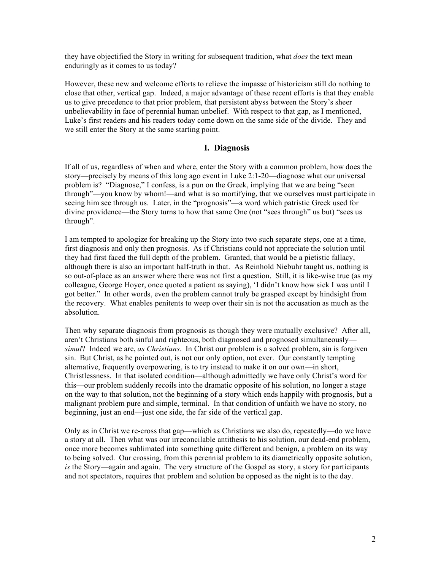they have objectified the Story in writing for subsequent tradition, what *does* the text mean enduringly as it comes to us today?

However, these new and welcome efforts to relieve the impasse of historicism still do nothing to close that other, vertical gap. Indeed, a major advantage of these recent efforts is that they enable us to give precedence to that prior problem, that persistent abyss between the Story's sheer unbelievability in face of perennial human unbelief. With respect to that gap, as I mentioned, Luke's first readers and his readers today come down on the same side of the divide. They and we still enter the Story at the same starting point.

## **I. Diagnosis**

If all of us, regardless of when and where, enter the Story with a common problem, how does the story—precisely by means of this long ago event in Luke 2:1-20—diagnose what our universal problem is? "Diagnose," I confess, is a pun on the Greek, implying that we are being "seen through"—you know by whom!—and what is so mortifying, that we ourselves must participate in seeing him see through us. Later, in the "prognosis"—a word which patristic Greek used for divine providence—the Story turns to how that same One (not "sees through" us but) "sees us through".

I am tempted to apologize for breaking up the Story into two such separate steps, one at a time, first diagnosis and only then prognosis. As if Christians could not appreciate the solution until they had first faced the full depth of the problem. Granted, that would be a pietistic fallacy, although there is also an important half-truth in that. As Reinhold Niebuhr taught us, nothing is so out-of-place as an answer where there was not first a question. Still, it is like-wise true (as my colleague, George Hoyer, once quoted a patient as saying), 'I didn't know how sick I was until I got better." In other words, even the problem cannot truly be grasped except by hindsight from the recovery. What enables penitents to weep over their sin is not the accusation as much as the absolution.

Then why separate diagnosis from prognosis as though they were mutually exclusive? After all, aren't Christians both sinful and righteous, both diagnosed and prognosed simultaneously *simul*? Indeed we are, *as Christians*. In Christ our problem is a solved problem, sin is forgiven sin. But Christ, as he pointed out, is not our only option, not ever. Our constantly tempting alternative, frequently overpowering, is to try instead to make it on our own—in short, Christlessness. In that isolated condition—although admittedly we have only Christ's word for this—our problem suddenly recoils into the dramatic opposite of his solution, no longer a stage on the way to that solution, not the beginning of a story which ends happily with prognosis, but a malignant problem pure and simple, terminal. In that condition of unfaith we have no story, no beginning, just an end—just one side, the far side of the vertical gap.

Only as in Christ we re-cross that gap—which as Christians we also do, repeatedly—do we have a story at all. Then what was our irreconcilable antithesis to his solution, our dead-end problem, once more becomes sublimated into something quite different and benign, a problem on its way to being solved. Our crossing, from this perennial problem to its diametrically opposite solution, *is* the Story—again and again. The very structure of the Gospel as story, a story for participants and not spectators, requires that problem and solution be opposed as the night is to the day.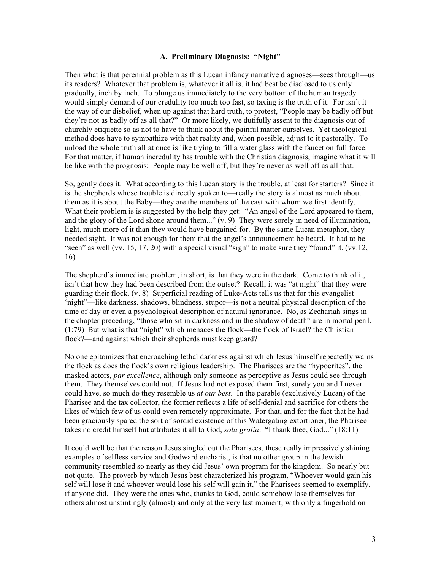#### **A. Preliminary Diagnosis: "Night"**

Then what is that perennial problem as this Lucan infancy narrative diagnoses—sees through—us its readers? Whatever that problem is, whatever it all is, it had best be disclosed to us only gradually, inch by inch. To plunge us immediately to the very bottom of the human tragedy would simply demand of our credulity too much too fast, so taxing is the truth of it. For isn't it the way of our disbelief, when up against that hard truth, to protest, "People may be badly off but they're not as badly off as all that?" Or more likely, we dutifully assent to the diagnosis out of churchly etiquette so as not to have to think about the painful matter ourselves. Yet theological method does have to sympathize with that reality and, when possible, adjust to it pastorally. To unload the whole truth all at once is like trying to fill a water glass with the faucet on full force. For that matter, if human incredulity has trouble with the Christian diagnosis, imagine what it will be like with the prognosis: People may be well off, but they're never as well off as all that.

So, gently does it. What according to this Lucan story is the trouble, at least for starters? Since it is the shepherds whose trouble is directly spoken to—really the story is almost as much about them as it is about the Baby—they are the members of the cast with whom we first identify. What their problem is is suggested by the help they get: "An angel of the Lord appeared to them, and the glory of the Lord shone around them..." (v. 9) They were sorely in need of illumination, light, much more of it than they would have bargained for. By the same Lucan metaphor, they needed sight. It was not enough for them that the angel's announcement be heard. It had to be "seen" as well (vv. 15, 17, 20) with a special visual "sign" to make sure they "found" it. (vv.12, 16)

The shepherd's immediate problem, in short, is that they were in the dark. Come to think of it, isn't that how they had been described from the outset? Recall, it was "at night" that they were guarding their flock. (v. 8) Superficial reading of Luke-Acts tells us that for this evangelist 'night"—like darkness, shadows, blindness, stupor—is not a neutral physical description of the time of day or even a psychological description of natural ignorance. No, as Zechariah sings in the chapter preceding, "those who sit in darkness and in the shadow of death" are in mortal peril. (1:79) But what is that "night" which menaces the flock—the flock of Israel? the Christian flock?—and against which their shepherds must keep guard?

No one epitomizes that encroaching lethal darkness against which Jesus himself repeatedly warns the flock as does the flock's own religious leadership. The Pharisees are the "hypocrites", the masked actors, *par excellence*, although only someone as perceptive as Jesus could see through them. They themselves could not. If Jesus had not exposed them first, surely you and I never could have, so much do they resemble us *at our best*. In the parable (exclusively Lucan) of the Pharisee and the tax collector, the former reflects a life of self-denial and sacrifice for others the likes of which few of us could even remotely approximate. For that, and for the fact that he had been graciously spared the sort of sordid existence of this Watergating extortioner, the Pharisee takes no credit himself but attributes it all to God, *sola gratia*: "I thank thee, God..." (18:11)

It could well be that the reason Jesus singled out the Pharisees, these really impressively shining examples of selfless service and Godward eucharist, is that no other group in the Jewish community resembled so nearly as they did Jesus' own program for the kingdom. So nearly but not quite. The proverb by which Jesus best characterized his program, "Whoever would gain his self will lose it and whoever would lose his self will gain it," the Pharisees seemed to exemplify, if anyone did. They were the ones who, thanks to God, could somehow lose themselves for others almost unstintingly (almost) and only at the very last moment, with only a fingerhold on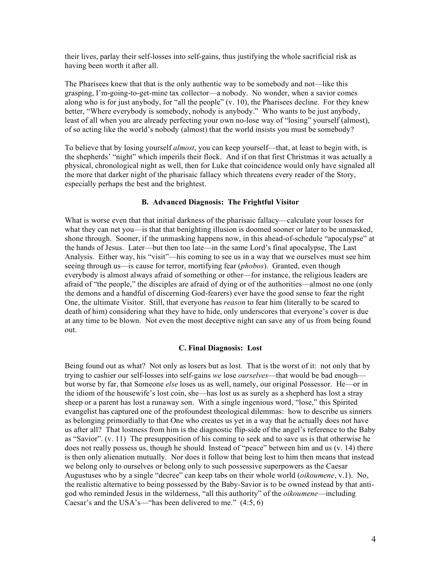their lives, parlay their self-losses into self-gains, thus justifying the whole sacrificial risk as having been worth it after all.

The Pharisees knew that that is the only authentic way to be somebody and not—like this grasping, I'm-going-to-get-mine tax collector—a nobody. No wonder, when a savior comes along who is for just anybody, for "all the people"  $(v, 10)$ , the Pharisees decline. For they knew better, "Where everybody is somebody, nobody is anybody." Who wants to be just anybody, least of all when you are already perfecting your own no-lose way of "losing" yourself (almost), of so acting like the world's nobody (almost) that the world insists you must be somebody?

To believe that by losing yourself *almost*, you can keep yourself—that, at least to begin with, is the shepherds' "night" which imperils their flock. And if on that first Christmas it was actually a physical, chronological night as well, then for Luke that coincidence would only have signaled all the more that darker night of the pharisaic fallacy which threatens every reader of the Story, especially perhaps the best and the brightest.

#### **B. Advanced Diagnosis: The Frightful Visitor**

What is worse even that that initial darkness of the pharisaic fallacy—calculate your losses for what they can net you—is that that benighting illusion is doomed sooner or later to be unmasked, shone through. Sooner, if the unmasking happens now, in this ahead-of-schedule "apocalypse" at the hands of Jesus. Later—but then too late—in the same Lord's final apocalypse, The Last Analysis. Either way, his "visit"—his coming to see us in a way that we ourselves must see him seeing through us—is cause for terror, mortifying fear (*phobos*). Granted, even though everybody is almost always afraid of something or other—for instance, the religious leaders are afraid of "the people," the disciples are afraid of dying or of the authorities—almost no one (only the demons and a handful of discerning God-fearers) ever have the good sense to fear the right One, the ultimate Visitor. Still, that everyone has *reason* to fear him (literally to be scared to death of him) considering what they have to hide, only underscores that everyone's cover is due at any time to be blown. Not even the most deceptive night can save any of us from being found out.

#### **C. Final Diagnosis: Lost**

Being found out as what? Not only as losers but as lost. That is the worst of it: not only that by trying to cashier our self-losses into self-gains *we* lose *ourselves*—that would be bad enough but worse by far, that Someone *else* loses us as well, namely, our original Possessor. He—or in the idiom of the housewife's lost coin, she—has lost us as surely as a shepherd has lost a stray sheep or a parent has lost a runaway son. With a single ingenious word, "lose," this Spirited evangelist has captured one of the profoundest theological dilemmas: how to describe us sinners as belonging primordially to that One who creates us yet in a way that he actually does not have us after all? That lostness from him is the diagnostic flip-side of the angel's reference to the Baby as "Savior". (v. 11) The presupposition of his coming to seek and to save us is that otherwise he does not really possess us, though he should Instead of "peace" between him and us (v. 14) there is then only alienation mutually. Nor does it follow that being lost to him then means that instead we belong only to ourselves or belong only to such possessive superpowers as the Caesar Augustuses who by a single "decree" can keep tabs on their whole world (*oikoumene*, v.1). No, the realistic alternative to being possessed by the Baby-Savior is to be owned instead by that antigod who reminded Jesus in the wilderness, "all this authority" of the *oikoumene*—including Caesar's and the USA's—"has been delivered to me." (4:5, 6)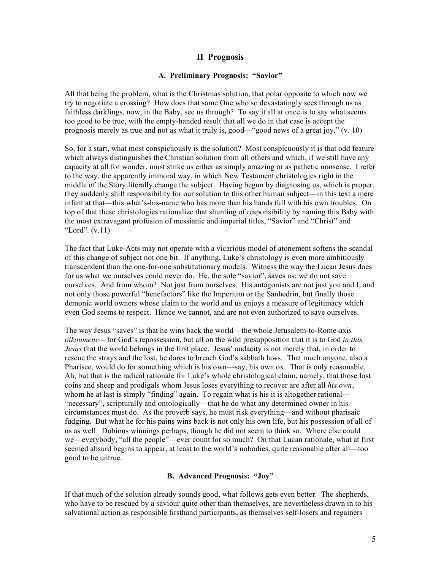## **II Prognosis**

#### **A. Preliminary Prognosis: "Savior"**

All that being the problem, what is the Christmas solution, that polar opposite to which now we try to negotiate a crossing? How does that same One who so devastatingly sees through us as faithless darklings, now, in the Baby, see us through? To say it all at once is to say what seems too good to be true, with the empty-handed result that all we do in that case is accept the prognosis merely as true and not as what it truly is, good—"good news of a great joy." (v. 10)

So, for a start, what most conspicuously is the solution? Most conspicuously it is that odd feature which always distinguishes the Christian solution from all others and which, if we still have any capacity at all for wonder, must strike us either as simply amazing or as pathetic nonsense. I refer to the way, the apparently immoral way, in which New Testament christologies right in the middle of the Story literally change the subject. Having begun by diagnosing us, which is proper, they suddenly shift responsibility for our solution to this other human subject—in this text a mere infant at that—this what's-his-name who has more than his hands full with his own troubles. On top of that these christologies rationalize that shunting of responsibility by naming this Baby with the most extravagant profusion of messianic and imperial titles, "Savior" and "Christ" and "Lord".  $(v.11)$ 

The fact that Luke-Acts may not operate with a vicarious model of atonement softens the scandal of this change of subject not one bit. If anything, Luke's christology is even more ambitiously transcendent than the one-for-one substitutionary models. Witness the way the Lucan Jesus does for us what we ourselves could never do. He, the sole "savior", saves us: we do not save ourselves. And from whom? Not just from ourselves. His antagonists are not just you and I, and not only those powerful "benefactors" like the Imperium or the Sanhedrin, but finally those demonic world owners whose claim to the world and us enjoys a measure of legitimacy which even God seems to respect. Hence we cannot, and are not even authorized to save ourselves.

The way Jesus "saves" is that he wins back the world—the whole Jerusalem-to-Rome-axis *oikoumene*—for God's repossession, but all on the wild presupposition that it is to God *in this Jesus* that the world belongs in the first place. Jesus' audacity is not merely that, in order to rescue the strays and the lost, he dares to breach God's sabbath laws. That much anyone, also a Pharisee, would do for something which is his own—say, his own ox. That is only reasonable. Ah, but that is the radical rationale for Luke's whole christological claim, namely, that those lost coins and sheep and prodigals whom Jesus loses everything to recover are after all *his own*, whom he at last is simply "finding" again. To regain what is his it is altogether rational— "necessary", scripturally and ontologically—that he do what any determined owner in his circumstances must do. As the proverb says, he must risk everything—and without pharisaic fudging. But what he for his pains wins back is not only his own life, but his possession of all of us as well. Dubious winnings perhaps, though he did not seem to think so. Where else could we—everybody, "all the people"—ever count for so much? On that Lucan rationale, what at first seemed absurd begins to appear, at least to the world's nobodies, quite reasonable after all—too good to be untrue.

### **B. Advanced Prognosis: "Joy"**

If that much of the solution already sounds good, what follows gets even better. The shepherds, who have to be rescued by a saviour quite other than themselves, are nevertheless drawn in to his salvational action as responsible firsthand participants, as themselves self-losers and regainers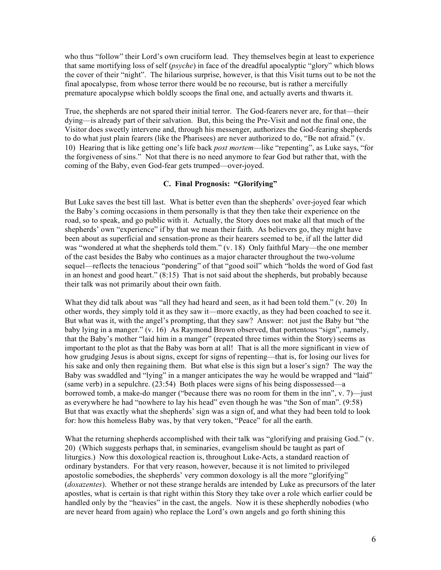who thus "follow" their Lord's own cruciform lead. They themselves begin at least to experience that same mortifying loss of self (*psyche*) in face of the dreadful apocalyptic "glory" which blows the cover of their "night". The hilarious surprise, however, is that this Visit turns out to be not the final apocalypse, from whose terror there would be no recourse, but is rather a mercifully premature apocalypse which boldly scoops the final one, and actually averts and thwarts it.

True, the shepherds are not spared their initial terror. The God-fearers never are, for that—their dying—is already part of their salvation. But, this being the Pre-Visit and not the final one, the Visitor does sweetly intervene and, through his messenger, authorizes the God-fearing shepherds to do what just plain fearers (like the Pharisees) are never authorized to do, "Be not afraid." (v. 10) Hearing that is like getting one's life back *post mortem*—like "repenting", as Luke says, "for the forgiveness of sins." Not that there is no need anymore to fear God but rather that, with the coming of the Baby, even God-fear gets trumped—over-joyed.

#### **C. Final Prognosis: "Glorifying"**

But Luke saves the best till last. What is better even than the shepherds' over-joyed fear which the Baby's coming occasions in them personally is that they then take their experience on the road, so to speak, and go public with it. Actually, the Story does not make all that much of the shepherds' own "experience" if by that we mean their faith. As believers go, they might have been about as superficial and sensation-prone as their hearers seemed to be, if all the latter did was "wondered at what the shepherds told them." (v. 18) Only faithful Mary—the one member of the cast besides the Baby who continues as a major character throughout the two-volume sequel—reflects the tenacious "pondering" of that "good soil" which "holds the word of God fast in an honest and good heart." (8:15) That is not said about the shepherds, but probably because their talk was not primarily about their own faith.

What they did talk about was "all they had heard and seen, as it had been told them."  $(v, 20)$  In other words, they simply told it as they saw it—more exactly, as they had been coached to see it. But what was it, with the angel's prompting, that they saw? Answer: not just the Baby but "the baby lying in a manger." (v. 16) As Raymond Brown observed, that portentous "sign", namely, that the Baby's mother "laid him in a manger" (repeated three times within the Story) seems as important to the plot as that the Baby was born at all! That is all the more significant in view of how grudging Jesus is about signs, except for signs of repenting—that is, for losing our lives for his sake and only then regaining them. But what else is this sign but a loser's sign? The way the Baby was swaddled and "lying" in a manger anticipates the way he would be wrapped and "laid" (same verb) in a sepulchre. (23:54) Both places were signs of his being dispossessed—a borrowed tomb, a make-do manger ("because there was no room for them in the inn", v. 7)—just as everywhere he had "nowhere to lay his head" even though he was "the Son of man". (9:58) But that was exactly what the shepherds' sign was a sign of, and what they had been told to look for: how this homeless Baby was, by that very token, "Peace" for all the earth.

What the returning shepherds accomplished with their talk was "glorifying and praising God." (v. 20) (Which suggests perhaps that, in seminaries, evangelism should be taught as part of liturgics.) Now this doxological reaction is, throughout Luke-Acts, a standard reaction of ordinary bystanders. For that very reason, however, because it is not limited to privileged apostolic somebodies, the shepherds' very common doxology is all the more "glorifying" (*doxazentes*). Whether or not these strange heralds are intended by Luke as precursors of the later apostles, what is certain is that right within this Story they take over a role which earlier could be handled only by the "heavies" in the cast, the angels. Now it is these shepherdly nobodies (who are never heard from again) who replace the Lord's own angels and go forth shining this